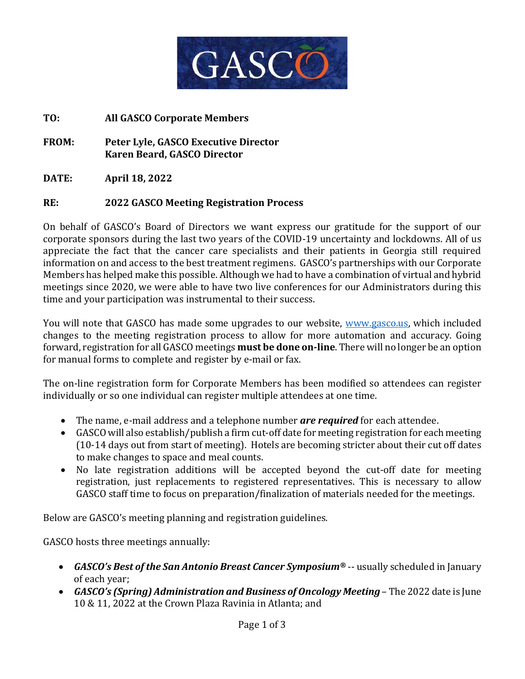

**TO: All GASCO Corporate Members**

**FROM: Peter Lyle, GASCO Executive Director Karen Beard, GASCO Director**

**DATE: April 18, 2022**

## **RE: 2022 GASCO Meeting Registration Process**

On behalf of GASCO's Board of Directors we want express our gratitude for the support of our corporate sponsors during the last two years of the COVID-19 uncertainty and lockdowns. All of us appreciate the fact that the cancer care specialists and their patients in Georgia still required information on and access to the best treatment regimens. GASCO's partnerships with our Corporate Members has helped make this possible. Although we had to have a combination of virtual and hybrid meetings since 2020, we were able to have two live conferences for our Administrators during this time and your participation was instrumental to their success.

You will note that GASCO has made some upgrades to our website, [www.gasco.us,](http://www.gasco.us/) which included changes to the meeting registration process to allow for more automation and accuracy. Going forward, registration for all GASCO meetings **must be done on-line**. There will no longer be an option for manual forms to complete and register by e-mail or fax.

The on-line registration form for Corporate Members has been modified so attendees can register individually or so one individual can register multiple attendees at one time.

- The name, e-mail address and a telephone number *are required* for each attendee.
- GASCO will also establish/publish a firm cut-off date for meeting registration for each meeting (10-14 days out from start of meeting). Hotels are becoming stricter about their cut off dates to make changes to space and meal counts.
- No late registration additions will be accepted beyond the cut-off date for meeting registration, just replacements to registered representatives. This is necessary to allow GASCO staff time to focus on preparation/finalization of materials needed for the meetings.

Below are GASCO's meeting planning and registration guidelines.

GASCO hosts three meetings annually:

- *GASCO's Best of the San Antonio Breast Cancer Symposium®* -- usually scheduled in January of each year;
- *GASCO's (Spring) Administration and Business of Oncology Meeting* The 2022 date is June 10 & 11, 2022 at the Crown Plaza Ravinia in Atlanta; and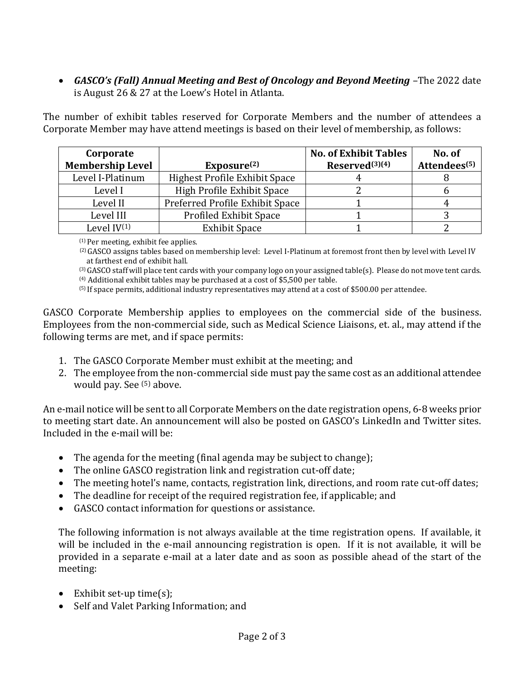• *GASCO's (Fall) Annual Meeting and Best of Oncology and Beyond Meeting* –The 2022 date is August 26 & 27 at the Loew's Hotel in Atlanta.

The number of exhibit tables reserved for Corporate Members and the number of attendees a Corporate Member may have attend meetings is based on their level of membership, as follows:

| Corporate               |                                 | <b>No. of Exhibit Tables</b> | No. of                   |
|-------------------------|---------------------------------|------------------------------|--------------------------|
| <b>Membership Level</b> | Exposure <sup>(2)</sup>         | Reserved <sup>(3)(4)</sup>   | Attendees <sup>(5)</sup> |
| Level I-Platinum        | Highest Profile Exhibit Space   |                              |                          |
| Level I                 | High Profile Exhibit Space      |                              |                          |
| Level II                | Preferred Profile Exhibit Space |                              |                          |
| Level III               | <b>Profiled Exhibit Space</b>   |                              |                          |
| Level $IV^{(1)}$        | <b>Exhibit Space</b>            |                              |                          |

 $(1)$  Per meeting, exhibit fee applies.

 (2)GASCO assigns tables based on membership level: Level I-Platinum at foremost front then by level with Level IV at farthest end of exhibit hall.

(3)GASCO staff will place tent cards with your company logo on your assigned table(s). Please do not move tent cards. (4) Additional exhibit tables may be purchased at a cost of \$5,500 per table.

(5) If space permits, additional industry representatives may attend at a cost of \$500.00 per attendee.

GASCO Corporate Membership applies to employees on the commercial side of the business. Employees from the non-commercial side, such as Medical Science Liaisons, et. al., may attend if the following terms are met, and if space permits:

- 1. The GASCO Corporate Member must exhibit at the meeting; and
- 2. The employee from the non-commercial side must pay the same cost as an additional attendee would pay. See <sup>(5)</sup> above.

An e-mail notice will be sent to all Corporate Members on the date registration opens, 6-8 weeks prior to meeting start date. An announcement will also be posted on GASCO's LinkedIn and Twitter sites. Included in the e-mail will be:

- The agenda for the meeting (final agenda may be subject to change);
- The online GASCO registration link and registration cut-off date;
- The meeting hotel's name, contacts, registration link, directions, and room rate cut-off dates;
- The deadline for receipt of the required registration fee, if applicable; and
- GASCO contact information for questions or assistance.

The following information is not always available at the time registration opens. If available, it will be included in the e-mail announcing registration is open. If it is not available, it will be provided in a separate e-mail at a later date and as soon as possible ahead of the start of the meeting:

- Exhibit set-up time(s);
- Self and Valet Parking Information; and